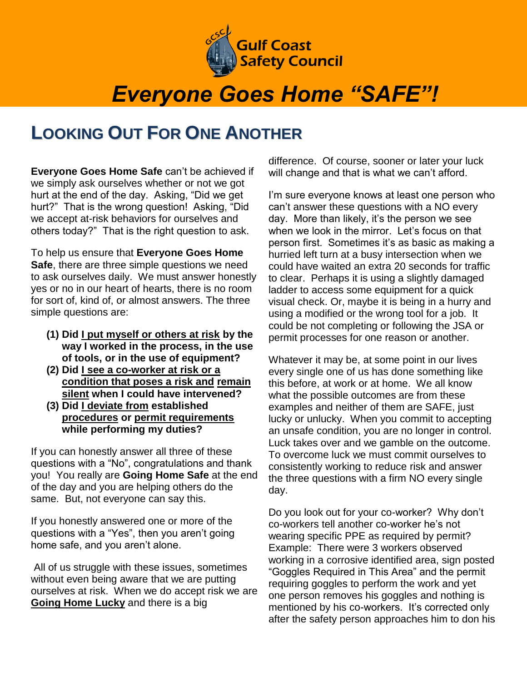

## *Everyone Goes Home "SAFE"!*

## **LOOKING OUT FOR ONE ANOTHER**

**Everyone Goes Home Safe** can't be achieved if we simply ask ourselves whether or not we got hurt at the end of the day. Asking, "Did we get hurt?" That is the wrong question! Asking, "Did we accept at-risk behaviors for ourselves and others today?" That is the right question to ask.

To help us ensure that **Everyone Goes Home Safe**, there are three simple questions we need to ask ourselves daily. We must answer honestly yes or no in our heart of hearts, there is no room for sort of, kind of, or almost answers. The three simple questions are:

- **(1) Did I put myself or others at risk by the way I worked in the process, in the use of tools, or in the use of equipment?**
- **(2) Did I see a co-worker at risk or a condition that poses a risk and remain silent when I could have intervened?**
- **(3) Did I deviate from established procedures or permit requirements while performing my duties?**

If you can honestly answer all three of these questions with a "No", congratulations and thank you! You really are **Going Home Safe** at the end of the day and you are helping others do the same. But, not everyone can say this.

If you honestly answered one or more of the questions with a "Yes", then you aren't going home safe, and you aren't alone.

All of us struggle with these issues, sometimes without even being aware that we are putting ourselves at risk. When we do accept risk we are **Going Home Lucky** and there is a big

difference. Of course, sooner or later your luck will change and that is what we can't afford.

I'm sure everyone knows at least one person who can't answer these questions with a NO every day. More than likely, it's the person we see when we look in the mirror. Let's focus on that person first. Sometimes it's as basic as making a hurried left turn at a busy intersection when we could have waited an extra 20 seconds for traffic to clear. Perhaps it is using a slightly damaged ladder to access some equipment for a quick visual check. Or, maybe it is being in a hurry and using a modified or the wrong tool for a job. It could be not completing or following the JSA or permit processes for one reason or another.

Whatever it may be, at some point in our lives every single one of us has done something like this before, at work or at home. We all know what the possible outcomes are from these examples and neither of them are SAFE, just lucky or unlucky. When you commit to accepting an unsafe condition, you are no longer in control. Luck takes over and we gamble on the outcome. To overcome luck we must commit ourselves to consistently working to reduce risk and answer the three questions with a firm NO every single day.

Do you look out for your co-worker? Why don't co-workers tell another co-worker he's not wearing specific PPE as required by permit? Example: There were 3 workers observed working in a corrosive identified area, sign posted "Goggles Required in This Area" and the permit requiring goggles to perform the work and yet one person removes his goggles and nothing is mentioned by his co-workers. It's corrected only after the safety person approaches him to don his